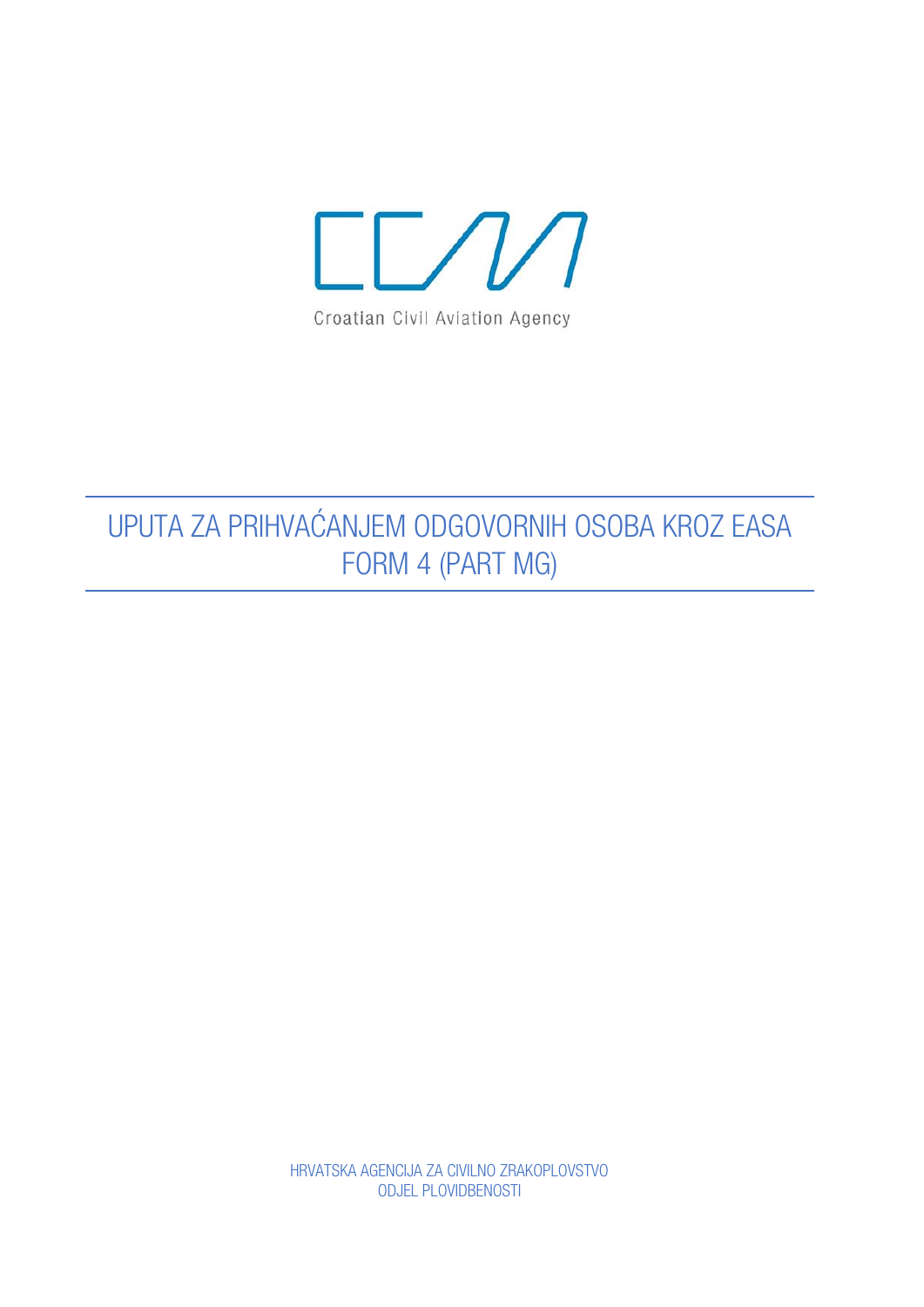

## UPUTA ZA PRIHVAĆANJEM ODGOVORNIH OSOBA KROZ EASA FORM 4 (PART MG)

HRVATSKA AGENCIJA ZA CIVILNO ZRAKOPLOVSTVO ODJEL PLOVIDBENOSTI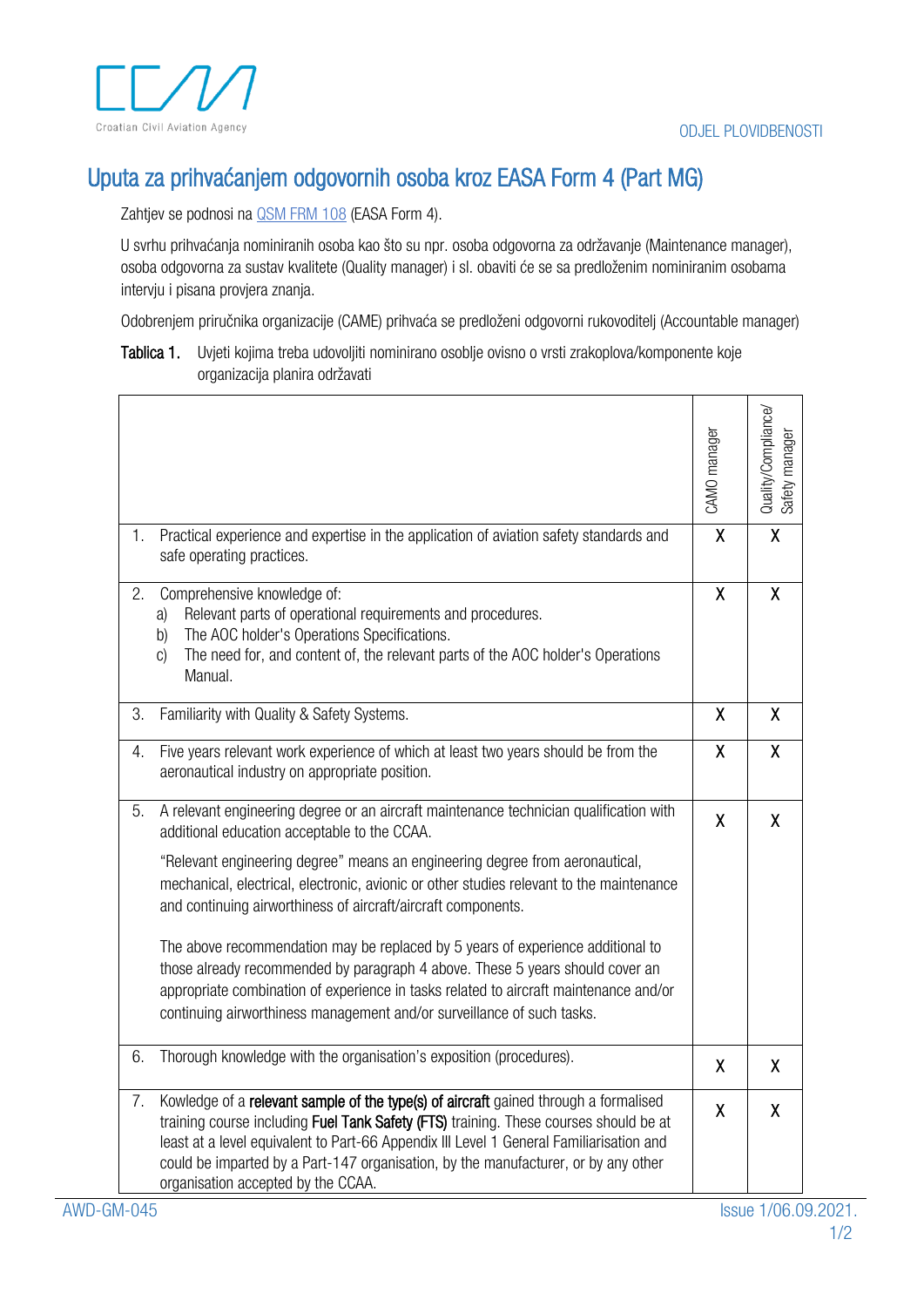

## Uputa za prihvaćanjem odgovornih osoba kroz EASA Form 4 (Part MG)

Zahtjev se podnosi na **QSM FRM 108** (EASA Form 4).

U svrhu prihvaćanja nominiranih osoba kao što su npr. osoba odgovorna za održavanje (Maintenance manager), osoba odgovorna za sustav kvalitete (Quality manager) i sl. obaviti će se sa predloženim nominiranim osobama intervju i pisana provjera znanja.

Odobrenjem priručnika organizacije (CAME) prihvaća se predloženi odgovorni rukovoditelj (Accountable manager)

Tablica 1. Uvjeti kojima treba udovoljiti nominirano osoblje ovisno o vrsti zrakoplova/komponente koje organizacija planira održavati

|    |                                                                                                                                                                                                                                                                                                                                                                                                                                                                                                                                                                                                                                                                                                                            | CAMO manager | Quality/Compliance/<br>Safety manager |
|----|----------------------------------------------------------------------------------------------------------------------------------------------------------------------------------------------------------------------------------------------------------------------------------------------------------------------------------------------------------------------------------------------------------------------------------------------------------------------------------------------------------------------------------------------------------------------------------------------------------------------------------------------------------------------------------------------------------------------------|--------------|---------------------------------------|
| 1. | Practical experience and expertise in the application of aviation safety standards and<br>safe operating practices.                                                                                                                                                                                                                                                                                                                                                                                                                                                                                                                                                                                                        | $\mathsf{X}$ | $\overline{\mathsf{X}}$               |
| 2. | Comprehensive knowledge of:<br>Relevant parts of operational requirements and procedures.<br>a)<br>The AOC holder's Operations Specifications.<br>b)<br>The need for, and content of, the relevant parts of the AOC holder's Operations<br>C)<br>Manual.                                                                                                                                                                                                                                                                                                                                                                                                                                                                   | X            | X                                     |
| 3. | Familiarity with Quality & Safety Systems.                                                                                                                                                                                                                                                                                                                                                                                                                                                                                                                                                                                                                                                                                 | X            | X                                     |
| 4. | Five years relevant work experience of which at least two years should be from the<br>aeronautical industry on appropriate position.                                                                                                                                                                                                                                                                                                                                                                                                                                                                                                                                                                                       | X            | X                                     |
| 5. | A relevant engineering degree or an aircraft maintenance technician qualification with<br>additional education acceptable to the CCAA.<br>"Relevant engineering degree" means an engineering degree from aeronautical,<br>mechanical, electrical, electronic, avionic or other studies relevant to the maintenance<br>and continuing airworthiness of aircraft/aircraft components.<br>The above recommendation may be replaced by 5 years of experience additional to<br>those already recommended by paragraph 4 above. These 5 years should cover an<br>appropriate combination of experience in tasks related to aircraft maintenance and/or<br>continuing airworthiness management and/or surveillance of such tasks. | X            | X                                     |
| 6. | Thorough knowledge with the organisation's exposition (procedures).                                                                                                                                                                                                                                                                                                                                                                                                                                                                                                                                                                                                                                                        | X            | X                                     |
| 7. | Kowledge of a relevant sample of the type(s) of aircraft gained through a formalised<br>training course including Fuel Tank Safety (FTS) training. These courses should be at<br>least at a level equivalent to Part-66 Appendix III Level 1 General Familiarisation and<br>could be imparted by a Part-147 organisation, by the manufacturer, or by any other<br>organisation accepted by the CCAA.                                                                                                                                                                                                                                                                                                                       | χ            | X                                     |